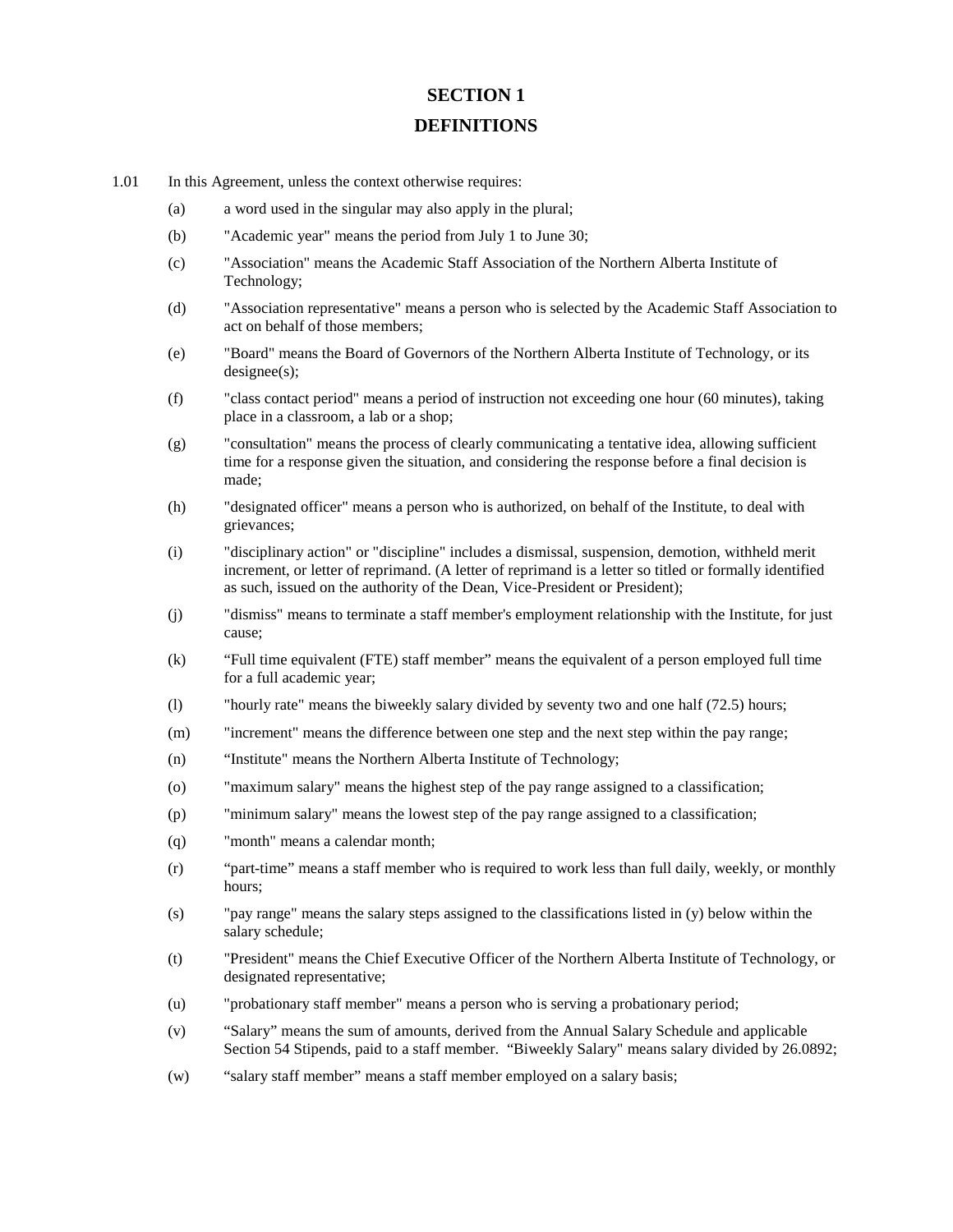## **SECTION 1 DEFINITIONS**

- 1.01 In this Agreement, unless the context otherwise requires:
	- (a) a word used in the singular may also apply in the plural;
	- (b) "Academic year" means the period from July 1 to June 30;
	- (c) "Association" means the Academic Staff Association of the Northern Alberta Institute of Technology;
	- (d) "Association representative" means a person who is selected by the Academic Staff Association to act on behalf of those members;
	- (e) "Board" means the Board of Governors of the Northern Alberta Institute of Technology, or its designee(s);
	- (f) "class contact period" means a period of instruction not exceeding one hour (60 minutes), taking place in a classroom, a lab or a shop;
	- (g) "consultation" means the process of clearly communicating a tentative idea, allowing sufficient time for a response given the situation, and considering the response before a final decision is made;
	- (h) "designated officer" means a person who is authorized, on behalf of the Institute, to deal with grievances;
	- (i) "disciplinary action" or "discipline" includes a dismissal, suspension, demotion, withheld merit increment, or letter of reprimand. (A letter of reprimand is a letter so titled or formally identified as such, issued on the authority of the Dean, Vice-President or President);
	- (j) "dismiss" means to terminate a staff member's employment relationship with the Institute, for just cause;
	- (k) "Full time equivalent (FTE) staff member" means the equivalent of a person employed full time for a full academic year;
	- (l) "hourly rate" means the biweekly salary divided by seventy two and one half (72.5) hours;
	- (m) "increment" means the difference between one step and the next step within the pay range;
	- (n) "Institute" means the Northern Alberta Institute of Technology;
	- (o) "maximum salary" means the highest step of the pay range assigned to a classification;
	- (p) "minimum salary" means the lowest step of the pay range assigned to a classification;
	- (q) "month" means a calendar month;
	- (r) "part-time" means a staff member who is required to work less than full daily, weekly, or monthly hours;
	- (s) "pay range" means the salary steps assigned to the classifications listed in (y) below within the salary schedule;
	- (t) "President" means the Chief Executive Officer of the Northern Alberta Institute of Technology, or designated representative;
	- (u) "probationary staff member" means a person who is serving a probationary period;
	- (v) "Salary" means the sum of amounts, derived from the Annual Salary Schedule and applicable Section 54 Stipends, paid to a staff member. "Biweekly Salary" means salary divided by 26.0892;
	- (w) "salary staff member" means a staff member employed on a salary basis;